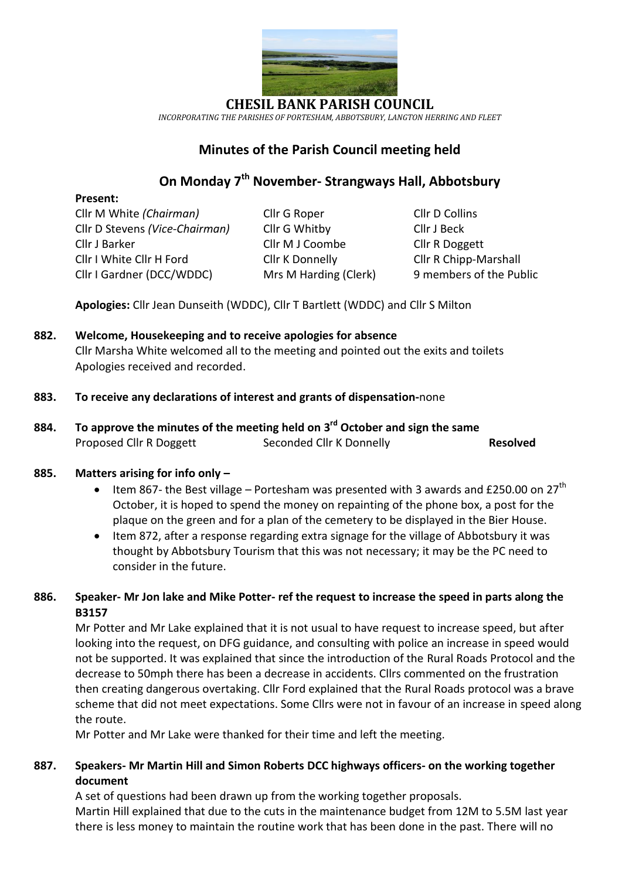

**CHESIL BANK PARISH COUNCIL** *INCORPORATING THE PARISHES OF PORTESHAM, ABBOTSBURY, LANGTON HERRING AND FLEET*

# **Minutes of the Parish Council meeting held**

# **On Monday 7 th November- Strangways Hall, Abbotsbury**

### **Present:**

Cllr M White *(Chairman)* Cllr G Roper Cllr D Collins Cllr D Stevens *(Vice-Chairman)* Cllr G Whitby Cllr J Beck Cllr J Barker Cllr M J Coombe Cllr R Doggett Cllr I White Cllr H Ford Cllr K Donnelly Cllr R Chipp-Marshall Cllr I Gardner (DCC/WDDC) Mrs M Harding (Clerk)9 members of the Public

**Apologies:** Cllr Jean Dunseith (WDDC), Cllr T Bartlett (WDDC) and Cllr S Milton

# **882. Welcome, Housekeeping and to receive apologies for absence** Cllr Marsha White welcomed all to the meeting and pointed out the exits and toilets Apologies received and recorded.

# **883. To receive any declarations of interest and grants of dispensation-**none

**884. To approve the minutes of the meeting held on 3 rd October and sign the same** Proposed Cllr R Doggett Seconded Cllr K Donnelly **Resolved** 

# **885. Matters arising for info only –**

- Item 867- the Best village Portesham was presented with 3 awards and £250.00 on  $27<sup>th</sup>$ October, it is hoped to spend the money on repainting of the phone box, a post for the plaque on the green and for a plan of the cemetery to be displayed in the Bier House.
- Item 872, after a response regarding extra signage for the village of Abbotsbury it was thought by Abbotsbury Tourism that this was not necessary; it may be the PC need to consider in the future.

# **886. Speaker- Mr Jon lake and Mike Potter- ref the request to increase the speed in parts along the B3157**

Mr Potter and Mr Lake explained that it is not usual to have request to increase speed, but after looking into the request, on DFG guidance, and consulting with police an increase in speed would not be supported. It was explained that since the introduction of the Rural Roads Protocol and the decrease to 50mph there has been a decrease in accidents. Cllrs commented on the frustration then creating dangerous overtaking. Cllr Ford explained that the Rural Roads protocol was a brave scheme that did not meet expectations. Some Cllrs were not in favour of an increase in speed along the route.

Mr Potter and Mr Lake were thanked for their time and left the meeting.

# **887. Speakers- Mr Martin Hill and Simon Roberts DCC highways officers- on the working together document**

A set of questions had been drawn up from the working together proposals. Martin Hill explained that due to the cuts in the maintenance budget from 12M to 5.5M last year there is less money to maintain the routine work that has been done in the past. There will no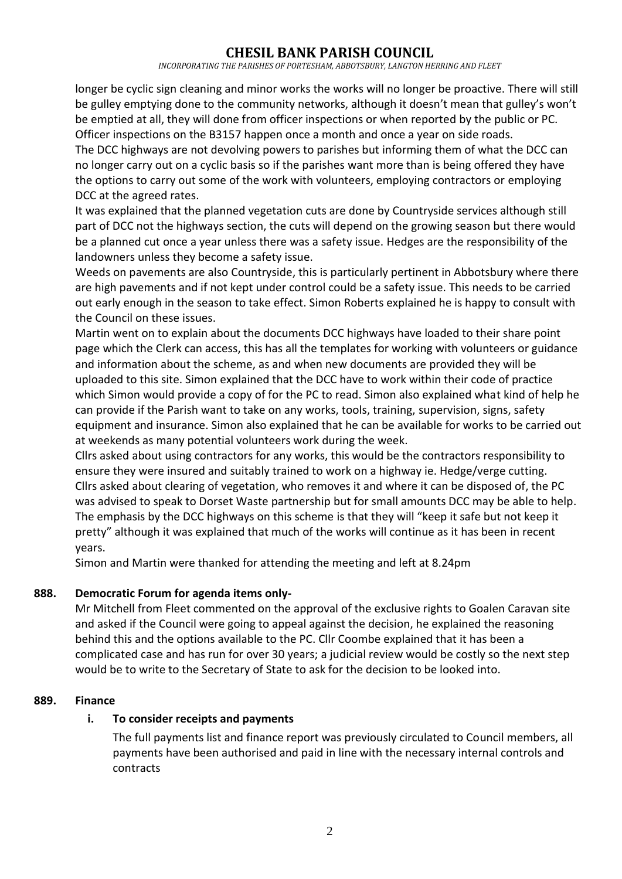*INCORPORATING THE PARISHES OF PORTESHAM, ABBOTSBURY, LANGTON HERRING AND FLEET*

longer be cyclic sign cleaning and minor works the works will no longer be proactive. There will still be gulley emptying done to the community networks, although it doesn't mean that gulley's won't be emptied at all, they will done from officer inspections or when reported by the public or PC. Officer inspections on the B3157 happen once a month and once a year on side roads.

The DCC highways are not devolving powers to parishes but informing them of what the DCC can no longer carry out on a cyclic basis so if the parishes want more than is being offered they have the options to carry out some of the work with volunteers, employing contractors or employing DCC at the agreed rates.

It was explained that the planned vegetation cuts are done by Countryside services although still part of DCC not the highways section, the cuts will depend on the growing season but there would be a planned cut once a year unless there was a safety issue. Hedges are the responsibility of the landowners unless they become a safety issue.

Weeds on pavements are also Countryside, this is particularly pertinent in Abbotsbury where there are high pavements and if not kept under control could be a safety issue. This needs to be carried out early enough in the season to take effect. Simon Roberts explained he is happy to consult with the Council on these issues.

Martin went on to explain about the documents DCC highways have loaded to their share point page which the Clerk can access, this has all the templates for working with volunteers or guidance and information about the scheme, as and when new documents are provided they will be uploaded to this site. Simon explained that the DCC have to work within their code of practice which Simon would provide a copy of for the PC to read. Simon also explained what kind of help he can provide if the Parish want to take on any works, tools, training, supervision, signs, safety equipment and insurance. Simon also explained that he can be available for works to be carried out at weekends as many potential volunteers work during the week.

Cllrs asked about using contractors for any works, this would be the contractors responsibility to ensure they were insured and suitably trained to work on a highway ie. Hedge/verge cutting. Cllrs asked about clearing of vegetation, who removes it and where it can be disposed of, the PC was advised to speak to Dorset Waste partnership but for small amounts DCC may be able to help. The emphasis by the DCC highways on this scheme is that they will "keep it safe but not keep it pretty" although it was explained that much of the works will continue as it has been in recent years.

Simon and Martin were thanked for attending the meeting and left at 8.24pm

### **888. Democratic Forum for agenda items only-**

Mr Mitchell from Fleet commented on the approval of the exclusive rights to Goalen Caravan site and asked if the Council were going to appeal against the decision, he explained the reasoning behind this and the options available to the PC. Cllr Coombe explained that it has been a complicated case and has run for over 30 years; a judicial review would be costly so the next step would be to write to the Secretary of State to ask for the decision to be looked into.

### **889. Finance**

### **i. To consider receipts and payments**

The full payments list and finance report was previously circulated to Council members, all payments have been authorised and paid in line with the necessary internal controls and contracts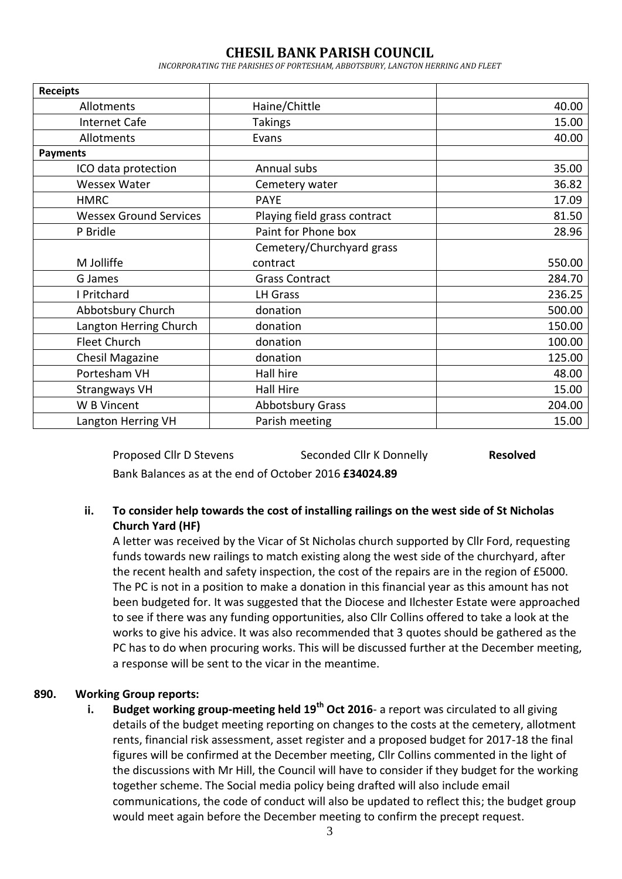*INCORPORATING THE PARISHES OF PORTESHAM, ABBOTSBURY, LANGTON HERRING AND FLEET*

| <b>Receipts</b>               |                              |        |
|-------------------------------|------------------------------|--------|
| Allotments                    | Haine/Chittle                | 40.00  |
| <b>Internet Cafe</b>          | Takings                      | 15.00  |
| Allotments                    | Evans                        | 40.00  |
| <b>Payments</b>               |                              |        |
| ICO data protection           | Annual subs                  | 35.00  |
| <b>Wessex Water</b>           | Cemetery water               | 36.82  |
| <b>HMRC</b>                   | <b>PAYE</b>                  | 17.09  |
| <b>Wessex Ground Services</b> | Playing field grass contract | 81.50  |
| P Bridle                      | Paint for Phone box          | 28.96  |
|                               | Cemetery/Churchyard grass    |        |
| M Jolliffe                    | contract                     | 550.00 |
| G James                       | <b>Grass Contract</b>        | 284.70 |
| I Pritchard                   | <b>LH Grass</b>              | 236.25 |
| Abbotsbury Church             | donation                     | 500.00 |
| Langton Herring Church        | donation                     | 150.00 |
| <b>Fleet Church</b>           | donation                     | 100.00 |
| <b>Chesil Magazine</b>        | donation                     | 125.00 |
| Portesham VH                  | Hall hire                    | 48.00  |
| <b>Strangways VH</b>          | Hall Hire                    | 15.00  |
| W B Vincent                   | Abbotsbury Grass             | 204.00 |
| Langton Herring VH            | Parish meeting               | 15.00  |

Proposed Cllr D Stevens Seconded Cllr K Donnelly **Resolved** Bank Balances as at the end of October 2016 **£34024.89**

### **ii. To consider help towards the cost of installing railings on the west side of St Nicholas Church Yard (HF)**

A letter was received by the Vicar of St Nicholas church supported by Cllr Ford, requesting funds towards new railings to match existing along the west side of the churchyard, after the recent health and safety inspection, the cost of the repairs are in the region of £5000. The PC is not in a position to make a donation in this financial year as this amount has not been budgeted for. It was suggested that the Diocese and Ilchester Estate were approached to see if there was any funding opportunities, also Cllr Collins offered to take a look at the works to give his advice. It was also recommended that 3 quotes should be gathered as the PC has to do when procuring works. This will be discussed further at the December meeting, a response will be sent to the vicar in the meantime.

#### **890. Working Group reports:**

**i. Budget working group-meeting held 19th Oct 2016**- a report was circulated to all giving details of the budget meeting reporting on changes to the costs at the cemetery, allotment rents, financial risk assessment, asset register and a proposed budget for 2017-18 the final figures will be confirmed at the December meeting, Cllr Collins commented in the light of the discussions with Mr Hill, the Council will have to consider if they budget for the working together scheme. The Social media policy being drafted will also include email communications, the code of conduct will also be updated to reflect this; the budget group would meet again before the December meeting to confirm the precept request.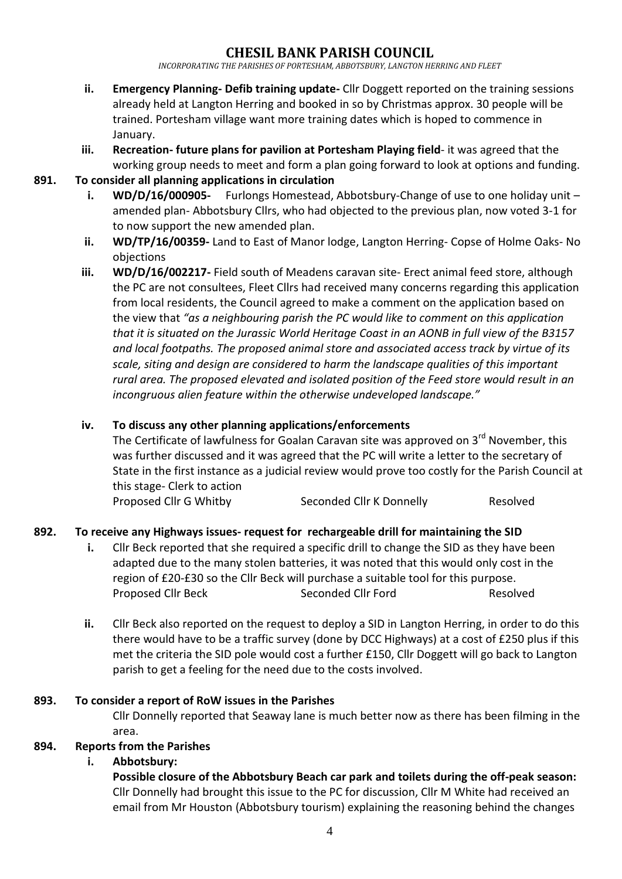*INCORPORATING THE PARISHES OF PORTESHAM, ABBOTSBURY, LANGTON HERRING AND FLEET*

- **ii. Emergency Planning- Defib training update-** Cllr Doggett reported on the training sessions already held at Langton Herring and booked in so by Christmas approx. 30 people will be trained. Portesham village want more training dates which is hoped to commence in January.
- **iii. Recreation- future plans for pavilion at Portesham Playing field** it was agreed that the working group needs to meet and form a plan going forward to look at options and funding.

#### **891. To consider all planning applications in circulation**

- **i. WD/D/16/000905-** Furlongs Homestead, Abbotsbury-Change of use to one holiday unit amended plan- Abbotsbury Cllrs, who had objected to the previous plan, now voted 3-1 for to now support the new amended plan.
- **ii. WD/TP/16/00359-** Land to East of Manor lodge, Langton Herring- Copse of Holme Oaks- No objections
- **iii. WD/D/16/002217-** Field south of Meadens caravan site- Erect animal feed store, although the PC are not consultees, Fleet Cllrs had received many concerns regarding this application from local residents, the Council agreed to make a comment on the application based on the view that *"as a neighbouring parish the PC would like to comment on this application that it is situated on the Jurassic World Heritage Coast in an AONB in full view of the B3157 and local footpaths. The proposed animal store and associated access track by virtue of its scale, siting and design are considered to harm the landscape qualities of this important rural area. The proposed elevated and isolated position of the Feed store would result in an incongruous alien feature within the otherwise undeveloped landscape."*

#### **iv. To discuss any other planning applications/enforcements**

The Certificate of lawfulness for Goalan Caravan site was approved on  $3<sup>rd</sup>$  November, this was further discussed and it was agreed that the PC will write a letter to the secretary of State in the first instance as a judicial review would prove too costly for the Parish Council at this stage- Clerk to action

Proposed Cllr G Whitby Seconded Cllr K Donnelly Resolved

### **892. To receive any Highways issues- request for rechargeable drill for maintaining the SID**

- **i.** Cllr Beck reported that she required a specific drill to change the SID as they have been adapted due to the many stolen batteries, it was noted that this would only cost in the region of £20-£30 so the Cllr Beck will purchase a suitable tool for this purpose. Proposed Cllr Beck Seconded Cllr Ford Resolved
- **ii.** Cllr Beck also reported on the request to deploy a SID in Langton Herring, in order to do this there would have to be a traffic survey (done by DCC Highways) at a cost of £250 plus if this met the criteria the SID pole would cost a further £150, Cllr Doggett will go back to Langton parish to get a feeling for the need due to the costs involved.

#### **893. To consider a report of RoW issues in the Parishes**

Cllr Donnelly reported that Seaway lane is much better now as there has been filming in the area.

#### **894. Reports from the Parishes**

#### **i. Abbotsbury:**

**Possible closure of the Abbotsbury Beach car park and toilets during the off-peak season:** Cllr Donnelly had brought this issue to the PC for discussion, Cllr M White had received an email from Mr Houston (Abbotsbury tourism) explaining the reasoning behind the changes